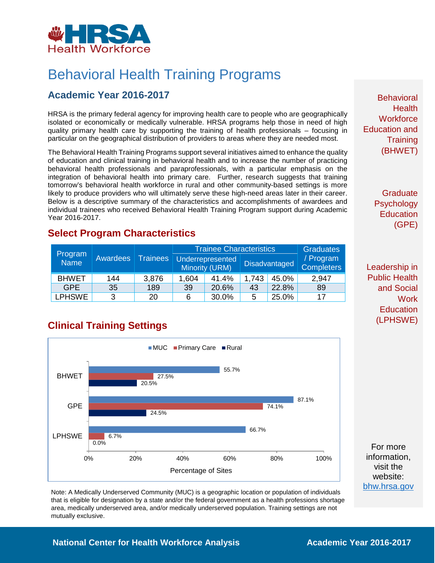

# Behavioral Health Training Programs

## **Academic Year 2016-2017**

HRSA is the primary federal agency for improving health care to people who are geographically isolated or economically or medically vulnerable. HRSA programs help those in need of high quality primary health care by supporting the training of health professionals – focusing in particular on the geographical distribution of providers to areas where they are needed most.

The Behavioral Health Training Programs support several initiatives aimed to enhance the quality of education and clinical training in behavioral health and to increase the number of practicing behavioral health professionals and paraprofessionals, with a particular emphasis on the integration of behavioral health into primary care. Further, research suggests that training tomorrow's behavioral health workforce in rural and other community-based settings is more likely to produce providers who will ultimately serve these high-need areas later in their career. Below is a descriptive summary of the characteristics and accomplishments of awardees and individual trainees who received Behavioral Health Training Program support during Academic Year 2016-2017.

### **Select Program Characteristics**

| Program<br><b>Name</b> | Awardees | <b>Trainees</b> | <b>Trainee Characteristics</b> |                                           |                      |       | <b>Graduates</b>               |
|------------------------|----------|-----------------|--------------------------------|-------------------------------------------|----------------------|-------|--------------------------------|
|                        |          |                 |                                | Underrepresented<br><b>Minority (URM)</b> | <b>Disadvantaged</b> |       | / Program<br><b>Completers</b> |
| <b>BHWET</b>           | 144      | 3,876           | 1,604                          | 41.4%                                     | 1,743                | 45.0% | 2,947                          |
| <b>GPE</b>             | 35       | 189             | 39                             | 20.6%                                     | 43                   | 22.8% | 89                             |
| <b>LPHSWE</b>          | 3        | 20              |                                | 30.0%                                     | 5                    | 25.0% | 17                             |

## **Clinical Training Settings**



Note: A Medically Underserved Community (MUC) is a geographic location or population of individuals that is eligible for designation by a state and/or the federal government as a health professions shortage area, medically underserved area, and/or medically underserved population. Training settings are not mutually exclusive.

**Behavioral Health Workforce** Education and **Training** (BHWET)

> **Graduate Psychology Education** (GPE)

Leadership in Public Health and Social **Work Education** (LPHSWE)

For more information, visit the website: [bhw.hrsa.gov](http://bhw.hrsa.gov/)

#### **National Center for Health Workforce Analysis Mational Center 2016-2017**